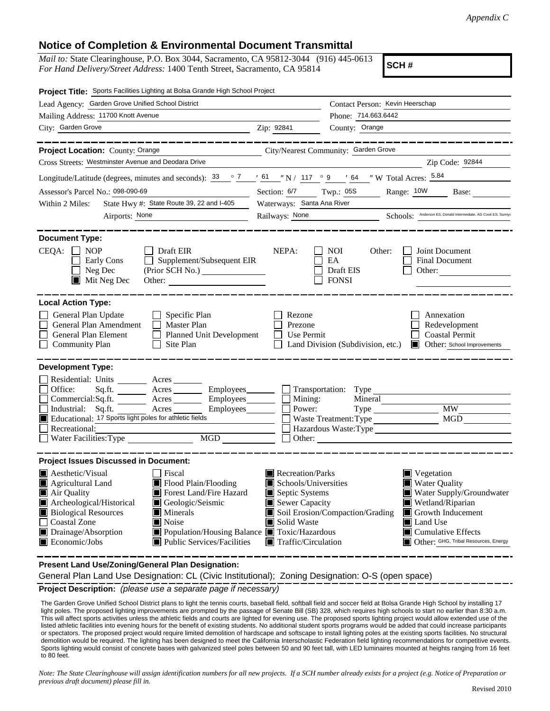## **Notice of Completion & Environmental Document Transmittal**

*Mail to:* State Clearinghouse, P.O. Box 3044, Sacramento, CA 95812-3044 (916) 445-0613 *For Hand Delivery/Street Address:* 1400 Tenth Street, Sacramento, CA 95814

**SCH #**

| Project Title: Sports Facilities Lighting at Bolsa Grande High School Project                                                                                                                                                                                                                                                                                                                                                                                                                                                  |                                                                                                                    |                                                                                                                                                                                                                                                   |  |
|--------------------------------------------------------------------------------------------------------------------------------------------------------------------------------------------------------------------------------------------------------------------------------------------------------------------------------------------------------------------------------------------------------------------------------------------------------------------------------------------------------------------------------|--------------------------------------------------------------------------------------------------------------------|---------------------------------------------------------------------------------------------------------------------------------------------------------------------------------------------------------------------------------------------------|--|
| Lead Agency: Garden Grove Unified School District                                                                                                                                                                                                                                                                                                                                                                                                                                                                              |                                                                                                                    | Contact Person: Kevin Heerschap                                                                                                                                                                                                                   |  |
| Mailing Address: 11700 Knott Avenue                                                                                                                                                                                                                                                                                                                                                                                                                                                                                            |                                                                                                                    | Phone: 714.663.6442                                                                                                                                                                                                                               |  |
| City: Garden Grove                                                                                                                                                                                                                                                                                                                                                                                                                                                                                                             | Zip: 92841                                                                                                         | County: Orange                                                                                                                                                                                                                                    |  |
| Project Location: County: Orange<br>City/Nearest Community: Garden Grove                                                                                                                                                                                                                                                                                                                                                                                                                                                       |                                                                                                                    |                                                                                                                                                                                                                                                   |  |
| Cross Streets: Westminster Avenue and Deodara Drive                                                                                                                                                                                                                                                                                                                                                                                                                                                                            |                                                                                                                    | Zip Code: 92844                                                                                                                                                                                                                                   |  |
| Longitude/Latitude (degrees, minutes and seconds): $\frac{33}{2}$ $\frac{7}{2}$ $\frac{161}{2}$ N / 117 $\degree$ 9 $\degree$ 64 $\degree$ W Total Acres: $\frac{5.84}{2}$                                                                                                                                                                                                                                                                                                                                                     |                                                                                                                    |                                                                                                                                                                                                                                                   |  |
| Assessor's Parcel No.: 098-090-69                                                                                                                                                                                                                                                                                                                                                                                                                                                                                              | Section: 6/7 Twp.: 05S<br>Range: 10W<br>Base:                                                                      |                                                                                                                                                                                                                                                   |  |
| State Hwy #: State Route 39, 22 and I-405<br>Within 2 Miles:                                                                                                                                                                                                                                                                                                                                                                                                                                                                   | Waterways: Santa Ana River                                                                                         |                                                                                                                                                                                                                                                   |  |
| Airports: None                                                                                                                                                                                                                                                                                                                                                                                                                                                                                                                 |                                                                                                                    | Railways: None Schools: Anderson ES, Donald Intermediate, AG Cook ES, Sunnys                                                                                                                                                                      |  |
| <b>Document Type:</b>                                                                                                                                                                                                                                                                                                                                                                                                                                                                                                          |                                                                                                                    |                                                                                                                                                                                                                                                   |  |
| $CEQA: \Box NP$<br><b>Draft EIR</b><br>Supplement/Subsequent EIR<br>Early Cons<br>$\Box$<br>Neg Dec<br>$\blacksquare$ Mit Neg Dec                                                                                                                                                                                                                                                                                                                                                                                              | NEPA:                                                                                                              | <b>NOI</b><br>Joint Document<br>Other:<br>EA<br><b>Final Document</b><br>Draft EIS<br>Other:<br><b>FONSI</b>                                                                                                                                      |  |
| <b>Local Action Type:</b>                                                                                                                                                                                                                                                                                                                                                                                                                                                                                                      |                                                                                                                    |                                                                                                                                                                                                                                                   |  |
| General Plan Update<br>Specific Plan<br>П<br>General Plan Amendment<br><b>Master Plan</b><br>General Plan Element<br>Planned Unit Development<br>$\Box$<br><b>Community Plan</b><br>Site Plan                                                                                                                                                                                                                                                                                                                                  | Rezone<br>Prezone<br>Use Permit<br>$\mathsf{L}$                                                                    | Annexation<br>Redevelopment<br><b>Coastal Permit</b><br>Land Division (Subdivision, etc.)<br>Other: School Improvements                                                                                                                           |  |
| <b>Development Type:</b>                                                                                                                                                                                                                                                                                                                                                                                                                                                                                                       |                                                                                                                    |                                                                                                                                                                                                                                                   |  |
| Residential: Units ________ Acres _______<br>Office:<br>Sq.ft.<br>$Commercial:Sq.fit.$ Acres _________ Employees _________ $\Box$<br>Industrial: Sq.ft. Acres<br>Educational: 17 Sports light poles for athletic fields<br><u> 1999 - Jan Jawa</u><br>Recreational:<br>MGD THE METAL STATE OF THE STATE OF THE STATE OF THE STATE OF THE STATE OF THE STATE OF THE STATE OF THE STATE OF THE STATE OF THE STATE OF THE STATE OF THE STATE OF THE STATE OF THE STATE OF THE STATE OF THE STATE OF THE<br>Water Facilities: Type | Mining:<br>Power:                                                                                                  | Acres Employees Transportation: Type<br>Mineral<br>MGD<br>Waste Treatment: Type<br>Hazardous Waste:Type                                                                                                                                           |  |
| <b>Project Issues Discussed in Document:</b>                                                                                                                                                                                                                                                                                                                                                                                                                                                                                   |                                                                                                                    |                                                                                                                                                                                                                                                   |  |
| Aesthetic/Visual<br>Fiscal<br>$\blacksquare$ Flood Plain/Flooding<br>Agricultural Land<br>Forest Land/Fire Hazard<br>Air Quality<br>Archeological/Historical<br>Geologic/Seismic<br><b>Biological Resources</b><br>Minerals<br>Noise<br>Coastal Zone<br>Drainage/Absorption<br>■ Population/Housing Balance ■ Toxic/Hazardous<br>$\blacksquare$ Economic/Jobs<br>■ Public Services/Facilities                                                                                                                                  | Recreation/Parks<br>Schools/Universities<br>Septic Systems<br>Sewer Capacity<br>Solid Waste<br>Traffic/Circulation | $\blacksquare$ Vegetation<br><b>Water Quality</b><br>Water Supply/Groundwater<br>Wetland/Riparian<br>Soil Erosion/Compaction/Grading<br>Growth Inducement<br><b>Land Use</b><br><b>Cumulative Effects</b><br>Other: GHG, Tribal Resources, Energy |  |

**Present Land Use/Zoning/General Plan Designation:**

General Plan Land Use Designation: CL (Civic Institutional); Zoning Designation: O-S (open space)

**Project Description:** *(please use a separate page if necessary)*

 The Garden Grove Unified School District plans to light the tennis courts, baseball field, softball field and soccer field at Bolsa Grande High School by installing 17 light poles. The proposed lighting improvements are prompted by the passage of Senate Bill (SB) 328, which requires high schools to start no earlier than 8:30 a.m. This will affect sports activities unless the athletic fields and courts are lighted for evening use. The proposed sports lighting project would allow extended use of the listed athletic facilities into evening hours for the benefit of existing students. No additional student sports programs would be added that could increase participants or spectators. The proposed project would require limited demolition of hardscape and softscape to install lighting poles at the existing sports facilities. No structural demolition would be required. The lighting has been designed to meet the California Interscholastic Federation field lighting recommendations for competitive events. Sports lighting would consist of concrete bases with galvanized steel poles between 50 and 90 feet tall, with LED luminaires mounted at heights ranging from 16 feet to 80 feet.

*Note: The State Clearinghouse will assign identification numbers for all new projects. If a SCH number already exists for a project (e.g. Notice of Preparation or previous draft document) please fill in.*